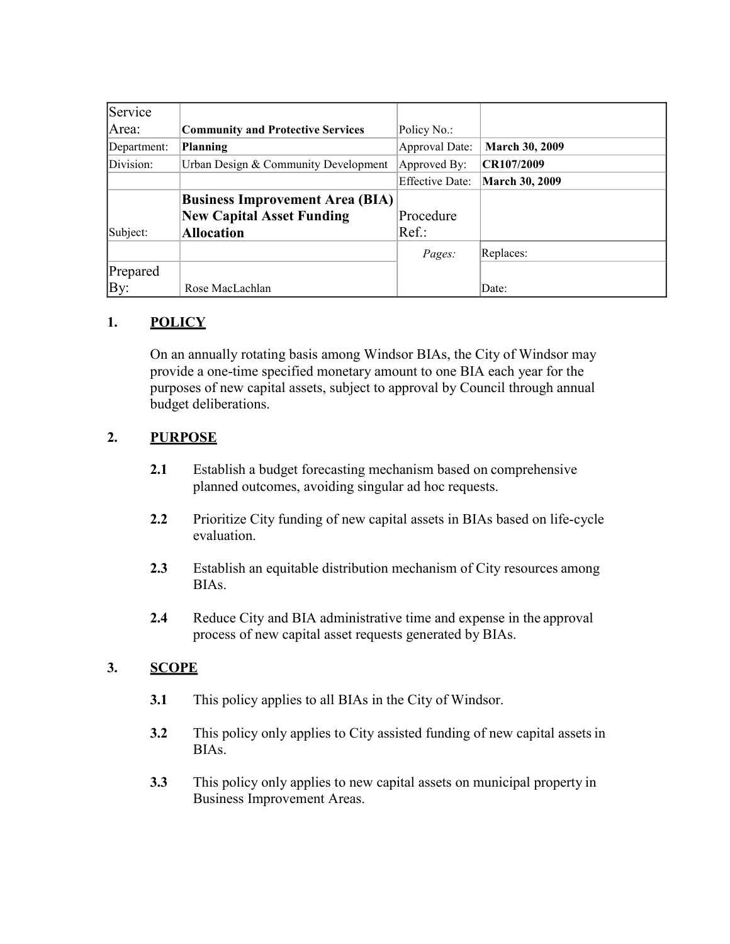| Service     |                                          |                        |                       |
|-------------|------------------------------------------|------------------------|-----------------------|
| Area:       | <b>Community and Protective Services</b> | Policy No.:            |                       |
| Department: | <b>Planning</b>                          | Approval Date:         | <b>March 30, 2009</b> |
| Division:   | Urban Design & Community Development     | Approved By:           | CR107/2009            |
|             |                                          | <b>Effective Date:</b> | <b>March 30, 2009</b> |
|             | <b>Business Improvement Area (BIA)</b>   |                        |                       |
|             | <b>New Capital Asset Funding</b>         | Procedure              |                       |
| Subject:    | <b>Allocation</b>                        | $Ref.$ :               |                       |
|             |                                          | Pages:                 | Replaces:             |
| Prepared    |                                          |                        |                       |
| By:         | Rose MacLachlan                          |                        | Date:                 |

## **1. POLICY**

On an annually rotating basis among Windsor BIAs, the City of Windsor may provide a one-time specified monetary amount to one BIA each year for the purposes of new capital assets, subject to approval by Council through annual budget deliberations.

# **2. PURPOSE**

- **2.1** Establish a budget forecasting mechanism based on comprehensive planned outcomes, avoiding singular ad hoc requests.
- **2.2** Prioritize City funding of new capital assets in BIAs based on life-cycle evaluation.
- **2.3** Establish an equitable distribution mechanism of City resources among BIAs.
- **2.4** Reduce City and BIA administrative time and expense in the approval process of new capital asset requests generated by BIAs.

## **3. SCOPE**

- **3.1** This policy applies to all BIAs in the City of Windsor.
- **3.2** This policy only applies to City assisted funding of new capital assets in BIAs.
- **3.3** This policy only applies to new capital assets on municipal property in Business Improvement Areas.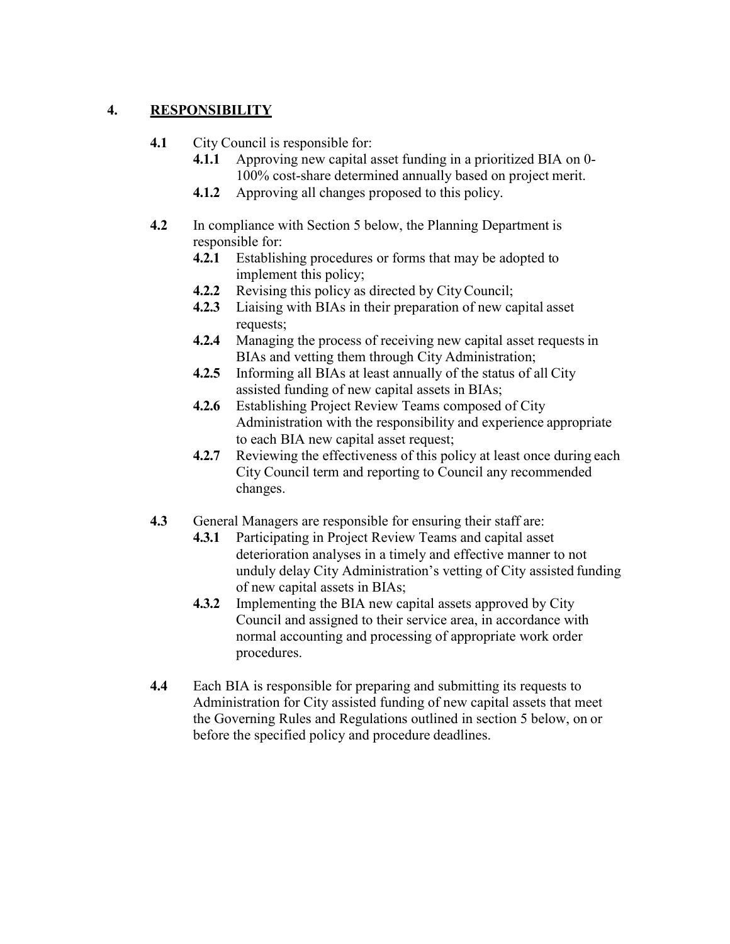## **4. RESPONSIBILITY**

- **4.1** City Council is responsible for:
	- **4.1.1** Approving new capital asset funding in a prioritized BIA on 0- 100% cost-share determined annually based on project merit.
	- **4.1.2** Approving all changes proposed to this policy.
- **4.2** In compliance with Section 5 below, the Planning Department is responsible for:
	- **4.2.1** Establishing procedures or forms that may be adopted to implement this policy;
	- **4.2.2** Revising this policy as directed by CityCouncil;
	- **4.2.3** Liaising with BIAs in their preparation of new capital asset requests;
	- **4.2.4** Managing the process of receiving new capital asset requests in BIAs and vetting them through City Administration;
	- **4.2.5** Informing all BIAs at least annually of the status of all City assisted funding of new capital assets in BIAs;
	- **4.2.6** Establishing Project Review Teams composed of City Administration with the responsibility and experience appropriate to each BIA new capital asset request;
	- **4.2.7** Reviewing the effectiveness of this policy at least once during each City Council term and reporting to Council any recommended changes.
- **4.3** General Managers are responsible for ensuring their staff are:
	- **4.3.1** Participating in Project Review Teams and capital asset deterioration analyses in a timely and effective manner to not unduly delay City Administration's vetting of City assisted funding of new capital assets in BIAs;
	- **4.3.2** Implementing the BIA new capital assets approved by City Council and assigned to their service area, in accordance with normal accounting and processing of appropriate work order procedures.
- **4.4** Each BIA is responsible for preparing and submitting its requests to Administration for City assisted funding of new capital assets that meet the Governing Rules and Regulations outlined in section 5 below, on or before the specified policy and procedure deadlines.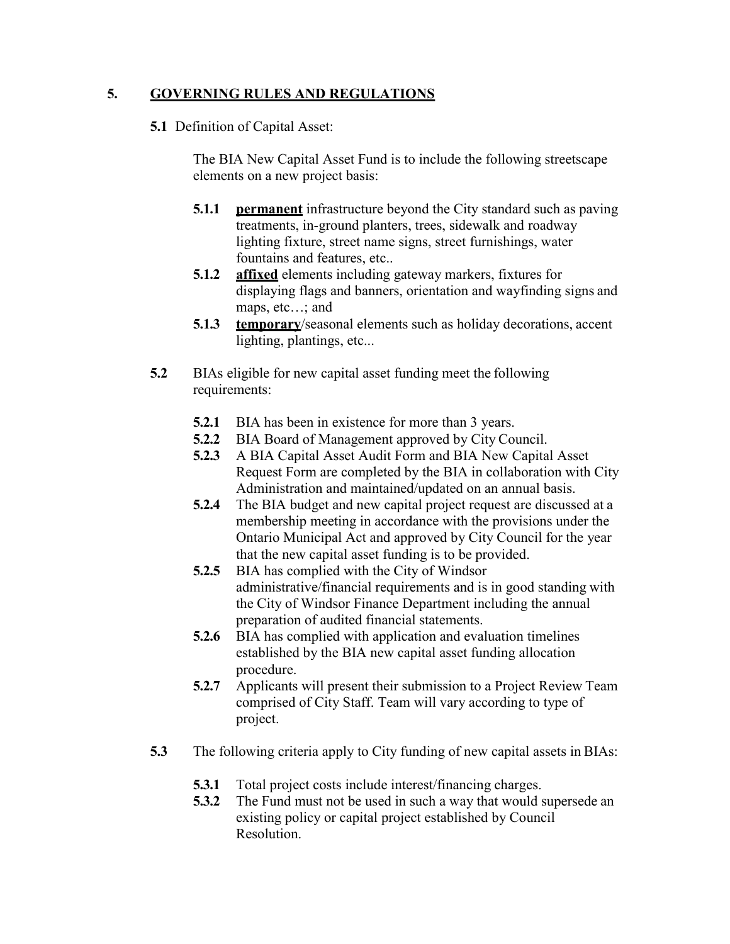## **5. GOVERNING RULES AND REGULATIONS**

#### **5.1** Definition of Capital Asset:

The BIA New Capital Asset Fund is to include the following streetscape elements on a new project basis:

- **5.1.1 permanent** infrastructure beyond the City standard such as paving treatments, in-ground planters, trees, sidewalk and roadway lighting fixture, street name signs, street furnishings, water fountains and features, etc..
- **5.1.2 affixed** elements including gateway markers, fixtures for displaying flags and banners, orientation and wayfinding signs and maps, etc…; and
- **5.1.3 temporary**/seasonal elements such as holiday decorations, accent lighting, plantings, etc...
- **5.2** BIAs eligible for new capital asset funding meet the following requirements:
	- **5.2.1** BIA has been in existence for more than 3 years.
	- **5.2.2** BIA Board of Management approved by City Council.
	- **5.2.3** A BIA Capital Asset Audit Form and BIA New Capital Asset Request Form are completed by the BIA in collaboration with City Administration and maintained/updated on an annual basis.
	- **5.2.4** The BIA budget and new capital project request are discussed at a membership meeting in accordance with the provisions under the Ontario Municipal Act and approved by City Council for the year that the new capital asset funding is to be provided.
	- **5.2.5** BIA has complied with the City of Windsor administrative/financial requirements and is in good standing with the City of Windsor Finance Department including the annual preparation of audited financial statements.
	- **5.2.6** BIA has complied with application and evaluation timelines established by the BIA new capital asset funding allocation procedure.
	- **5.2.7** Applicants will present their submission to a Project Review Team comprised of City Staff. Team will vary according to type of project.
- **5.3** The following criteria apply to City funding of new capital assets in BIAs:
	- **5.3.1** Total project costs include interest/financing charges.
	- **5.3.2** The Fund must not be used in such a way that would supersede an existing policy or capital project established by Council Resolution.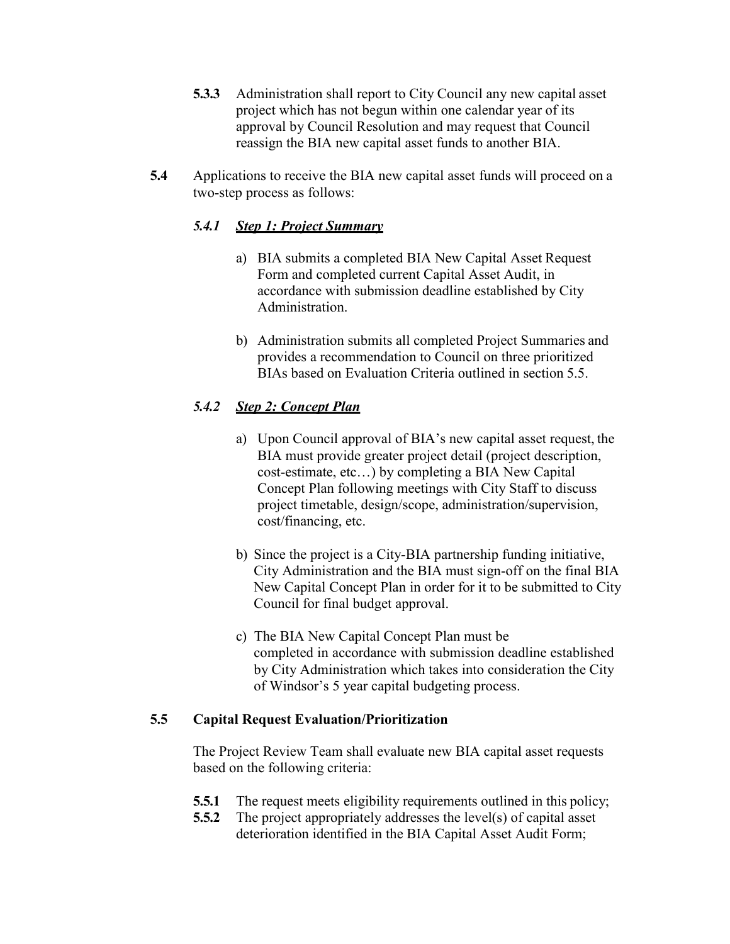- **5.3.3** Administration shall report to City Council any new capital asset project which has not begun within one calendar year of its approval by Council Resolution and may request that Council reassign the BIA new capital asset funds to another BIA.
- **5.4** Applications to receive the BIA new capital asset funds will proceed on a two-step process as follows:

## *5.4.1 Step 1: Project Summary*

- a) BIA submits a completed BIA New Capital Asset Request Form and completed current Capital Asset Audit, in accordance with submission deadline established by City Administration.
- b) Administration submits all completed Project Summaries and provides a recommendation to Council on three prioritized BIAs based on Evaluation Criteria outlined in section 5.5.

# *5.4.2 Step 2: Concept Plan*

- a) Upon Council approval of BIA's new capital asset request, the BIA must provide greater project detail (project description, cost-estimate, etc…) by completing a BIA New Capital Concept Plan following meetings with City Staff to discuss project timetable, design/scope, administration/supervision, cost/financing, etc.
- b) Since the project is a City-BIA partnership funding initiative, City Administration and the BIA must sign-off on the final BIA New Capital Concept Plan in order for it to be submitted to City Council for final budget approval.
- c) The BIA New Capital Concept Plan must be completed in accordance with submission deadline established by City Administration which takes into consideration the City of Windsor's 5 year capital budgeting process.

## **5.5 Capital Request Evaluation/Prioritization**

The Project Review Team shall evaluate new BIA capital asset requests based on the following criteria:

- **5.5.1** The request meets eligibility requirements outlined in this policy;
- **5.5.2** The project appropriately addresses the level(s) of capital asset deterioration identified in the BIA Capital Asset Audit Form;